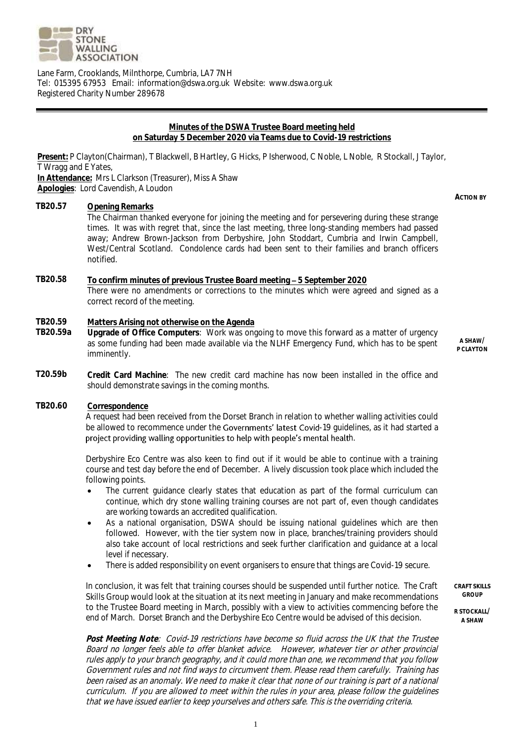

Lane Farm, Crooklands, Milnthorpe, Cumbria, LA7 7NH Tel: 015395 67953 Email: information@dswa.org.uk Website: www.dswa.org.uk Registered Charity Number 289678

#### **Minutes of the DSWA Trustee Board meeting held on Saturday 5 December 2020 via Teams due to Covid-19 restrictions**

**Present:** P Clayton(Chairman), T Blackwell, B Hartley, G Hicks, P Isherwood, C Noble, L Noble, R Stockall, J Taylor, T Wragg and E Yates, **In Attendance:** Mrs L Clarkson (Treasurer), Miss A Shaw

**Apologies**: Lord Cavendish, A Loudon

### **TB20.57 Opening Remarks**

The Chairman thanked everyone for joining the meeting and for persevering during these strange times. It was with regret that, since the last meeting, three long-standing members had passed away; Andrew Brown-Jackson from Derbyshire, John Stoddart, Cumbria and Irwin Campbell, West/Central Scotland. Condolence cards had been sent to their families and branch officers notified.

## **TB20.58 To confirm minutes of previous Trustee Board meeting 5 September 2020** There were no amendments or corrections to the minutes which were agreed and signed as a correct record of the meeting.

# **TB20.59 Matters Arising not otherwise on the Agenda**

**TB20.59a Upgrade of Office Computers**: Work was ongoing to move this forward as a matter of urgency as some funding had been made available via the NLHF Emergency Fund, which has to be spent imminently.

**A SHAW/ P CLAYTON**

**ACTION BY**

- **T20.59b Credit Card Machine**: The new credit card machine has now been installed in the office and should demonstrate savings in the coming months.
- **TB20.60 Correspondence**

A request had been received from the Dorset Branch in relation to whether walling activities could be allowed to recommence under the Governments' latest Covid-19 quidelines, as it had started a project providing walling opportunities to help with people's mental health.

Derbyshire Eco Centre was also keen to find out if it would be able to continue with a training course and test day before the end of December. A lively discussion took place which included the following points.

- The current guidance clearly states that education as part of the formal curriculum can continue, which dry stone walling training courses are not part of, even though candidates are working towards an accredited qualification.
- As a national organisation, DSWA should be issuing national guidelines which are then followed. However, with the tier system now in place, branches/training providers should also take account of local restrictions and seek further clarification and guidance at a local level if necessary.
- There is added responsibility on event organisers to ensure that things are Covid-19 secure.

In conclusion, it was felt that training courses should be suspended until further notice. The Craft Skills Group would look at the situation at its next meeting in January and make recommendations to the Trustee Board meeting in March, possibly with a view to activities commencing before the end of March. Dorset Branch and the Derbyshire Eco Centre would be advised of this decision.

**CRAFT SKILLS GROUP**

**R STOCKALL/ A SHAW**

**Post Meeting Note**: Covid-19 restrictions have become so fluid across the UK that the Trustee Board no longer feels able to offer blanket advice. However, whatever tier or other provincial rules apply to your branch geography, and it could more than one, we recommend that you follow Government rules and not find ways to circumvent them. Please read them carefully. Training has been raised as an anomaly. We need to make it clear that none of our training is part of a national curriculum. If you are allowed to meet within the rules in your area, please follow the guidelines that we have issued earlier to keep yourselves and others safe. This is the overriding criteria.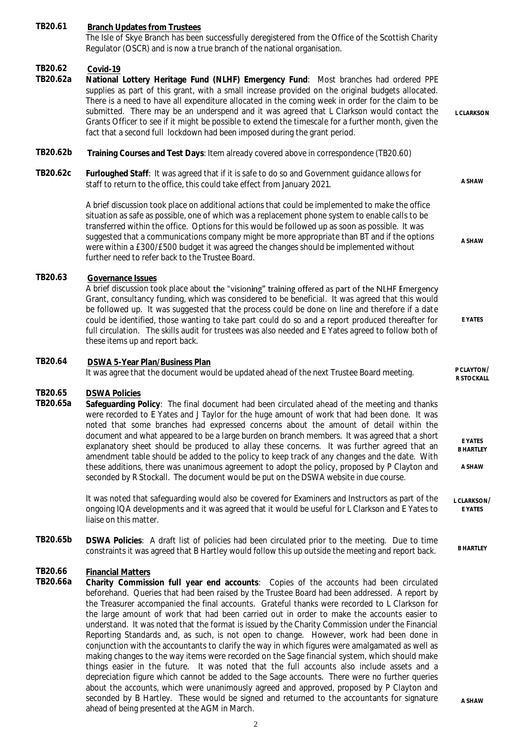**TB20.61 Branch Updates from Trustees** The Isle of Skye Branch has been successfully deregistered from the Office of the Scottish Charity Regulator (OSCR) and is now a true branch of the national organisation. **TB20.62 Covid-19 TB20.62a National Lottery Heritage Fund (NLHF) Emergency Fund**: Most branches had ordered PPE supplies as part of this grant, with a small increase provided on the original budgets allocated. There is a need to have all expenditure allocated in the coming week in order for the claim to be submitted. There may be an underspend and it was agreed that L Clarkson would contact the Grants Officer to see if it might be possible to extend the timescale for a further month, given the fact that a second full lockdown had been imposed during the grant period. **L CLARKSON TB20.62b Training Courses and Test Days**: Item already covered above in correspondence (TB20.60) **TB20.62c Furloughed Staff**: It was agreed that if it is safe to do so and Government guidance allows for staff to return to the office, this could take effect from January 2021. A brief discussion took place on additional actions that could be implemented to make the office situation as safe as possible, one of which was a replacement phone system to enable calls to be transferred within the office. Options for this would be followed up as soon as possible. It was suggested that a communications company might be more appropriate than BT and if the options were within a £300/£500 budget it was agreed the changes should be implemented without further need to refer back to the Trustee Board. **A SHAW A SHAW TB20.63 Governance Issues** A brief discussion took place about the "visioning" training offered as part of the NLHF Emergency Grant, consultancy funding, which was considered to be beneficial. It was agreed that this would be followed up. It was suggested that the process could be done on line and therefore if a date could be identified, those wanting to take part could do so and a report produced thereafter for full circulation. The skills audit for trustees was also needed and E Yates agreed to follow both of these items up and report back. **E YATES TB20.64 DSWA 5-Year Plan/Business Plan** It was agree that the document would be updated ahead of the next Trustee Board meeting. **R STOCKALL TB20.65 DSWA Policies TB20.65a Safeguarding Policy**: The final document had been circulated ahead of the meeting and thanks were recorded to E Yates and J Taylor for the huge amount of work that had been done. It was noted that some branches had expressed concerns about the amount of detail within the document and what appeared to be a large burden on branch members. It was agreed that a short explanatory sheet should be produced to allay these concerns. It was further agreed that an amendment table should be added to the policy to keep track of any changes and the date. With these additions, there was unanimous agreement to adopt the policy, proposed by P Clayton and seconded by R Stockall. The document would be put on the DSWA website in due course. It was noted that safeguarding would also be covered for Examiners and Instructors as part of the ongoing IQA developments and it was agreed that it would be useful for L Clarkson and E Yates to liaise on this matter. **E YATES B HARTLEY A SHAW L CLARKSON/ E YATES TB20.65b DSWA Policies**: A draft list of policies had been circulated prior to the meeting. Due to time constraints it was agreed that B Hartley would follow this up outside the meeting and report back. **B HARTLEY TB20.66 Financial Matters** Charity Commission full year end accounts: Copies of the accounts had been circulated beforehand. Queries that had been raised by the Trustee Board had been addressed. A report by the Treasurer accompanied the final accounts. Grateful thanks were recorded to L Clarkson for the large amount of work that had been carried out in order to make the accounts easier to understand. It was noted that the format is issued by the Charity Commission under the Financial Reporting Standards and, as such, is not open to change. However, work had been done in

**A SHAW**

ahead of being presented at the AGM in March.

conjunction with the accountants to clarify the way in which figures were amalgamated as well as making changes to the way items were recorded on the Sage financial system, which should make things easier in the future. It was noted that the full accounts also include assets and a depreciation figure which cannot be added to the Sage accounts. There were no further queries about the accounts, which were unanimously agreed and approved, proposed by P Clayton and seconded by B Hartley. These would be signed and returned to the accountants for signature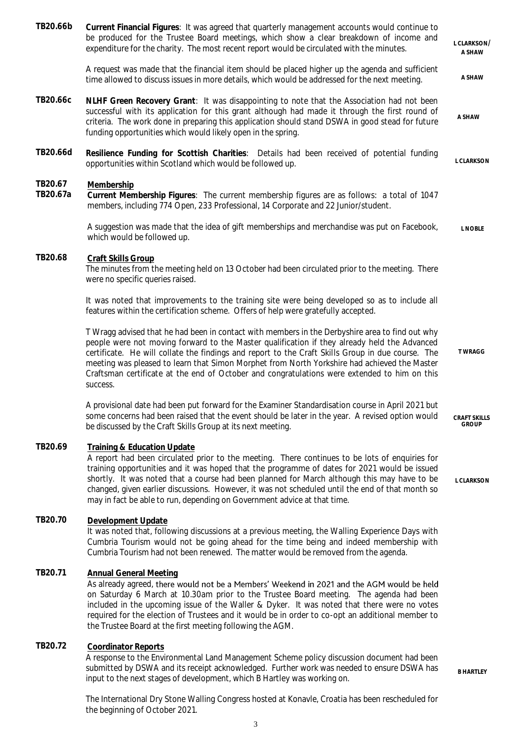| TB20.66b            | Current Financial Figures: It was agreed that quarterly management accounts would continue to<br>be produced for the Trustee Board meetings, which show a clear breakdown of income and<br>expenditure for the charity. The most recent report would be circulated with the minutes.                                                                                                                                                                                                                             | L CLARKSON/<br>A SHAW               |
|---------------------|------------------------------------------------------------------------------------------------------------------------------------------------------------------------------------------------------------------------------------------------------------------------------------------------------------------------------------------------------------------------------------------------------------------------------------------------------------------------------------------------------------------|-------------------------------------|
|                     | A request was made that the financial item should be placed higher up the agenda and sufficient<br>time allowed to discuss issues in more details, which would be addressed for the next meeting.                                                                                                                                                                                                                                                                                                                | A SHAW                              |
| TB20.66c            | NLHF Green Recovery Grant: It was disappointing to note that the Association had not been<br>successful with its application for this grant although had made it through the first round of<br>criteria. The work done in preparing this application should stand DSWA in good stead for future<br>funding opportunities which would likely open in the spring.                                                                                                                                                  | A SHAW                              |
| TB20.66d            | Resilience Funding for Scottish Charities: Details had been received of potential funding<br>opportunities within Scotland which would be followed up.                                                                                                                                                                                                                                                                                                                                                           | L CLARKSON                          |
| TB20.67<br>TB20.67a | Membership<br>Current Membership Figures: The current membership figures are as follows: a total of 1047<br>members, including 774 Open, 233 Professional, 14 Corporate and 22 Junior/student.                                                                                                                                                                                                                                                                                                                   |                                     |
|                     | A suggestion was made that the idea of gift memberships and merchandise was put on Facebook,<br>which would be followed up.                                                                                                                                                                                                                                                                                                                                                                                      | L NOBLE                             |
| TB20.68             | Craft Skills Group<br>The minutes from the meeting held on 13 October had been circulated prior to the meeting. There<br>were no specific queries raised.                                                                                                                                                                                                                                                                                                                                                        |                                     |
|                     | It was noted that improvements to the training site were being developed so as to include all<br>features within the certification scheme. Offers of help were gratefully accepted.                                                                                                                                                                                                                                                                                                                              |                                     |
|                     | T Wragg advised that he had been in contact with members in the Derbyshire area to find out why<br>people were not moving forward to the Master qualification if they already held the Advanced<br>certificate. He will collate the findings and report to the Craft Skills Group in due course. The<br>meeting was pleased to learn that Simon Morphet from North Yorkshire had achieved the Master<br>Craftsman certificate at the end of October and congratulations were extended to him on this<br>success. | <b>TWRAGG</b>                       |
|                     | A provisional date had been put forward for the Examiner Standardisation course in April 2021 but<br>some concerns had been raised that the event should be later in the year. A revised option would<br>be discussed by the Craft Skills Group at its next meeting.                                                                                                                                                                                                                                             | <b>CRAFT SKILLS</b><br><b>GROUP</b> |
| TB20.69             | Training & Education Update<br>A report had been circulated prior to the meeting. There continues to be lots of enquiries for<br>training opportunities and it was hoped that the programme of dates for 2021 would be issued<br>shortly. It was noted that a course had been planned for March although this may have to be<br>changed, given earlier discussions. However, it was not scheduled until the end of that month so<br>may in fact be able to run, depending on Government advice at that time.     | L CLARKSON                          |
| TB20.70             | Development Update<br>It was noted that, following discussions at a previous meeting, the Walling Experience Days with<br>Cumbria Tourism would not be going ahead for the time being and indeed membership with<br>Cumbria Tourism had not been renewed. The matter would be removed from the agenda.                                                                                                                                                                                                           |                                     |
| TB20.71             | <b>Annual General Meeting</b><br>As already agreed, there would not be a Members' Weekend in 2021 and the AGM would be held<br>on Saturday 6 March at 10.30am prior to the Trustee Board meeting. The agenda had been<br>included in the upcoming issue of the Waller & Dyker. It was noted that there were no votes<br>required for the election of Trustees and it would be in order to co-opt an additional member to<br>the Trustee Board at the first meeting following the AGM.                            |                                     |
| TB20.72             | <b>Coordinator Reports</b><br>A response to the Environmental Land Management Scheme policy discussion document had been<br>submitted by DSWA and its receipt acknowledged. Further work was needed to ensure DSWA has<br>input to the next stages of development, which B Hartley was working on.                                                                                                                                                                                                               | <b>B HARTLEY</b>                    |

The International Dry Stone Walling Congress hosted at Konavle, Croatia has been rescheduled for the beginning of October 2021.